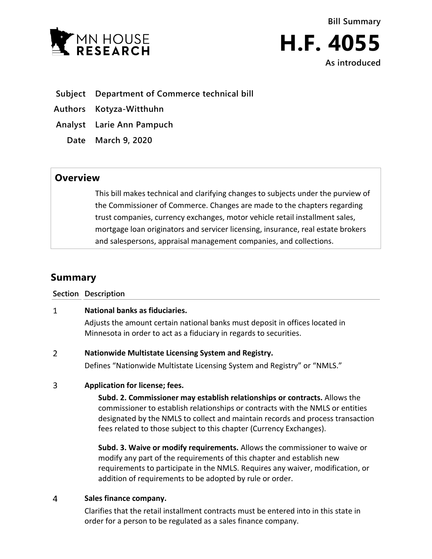

- **Subject Department of Commerce technical bill**
- **Authors Kotyza-Witthuhn**
- **Analyst Larie Ann Pampuch**
	- **Date March 9, 2020**

# **Overview**

This bill makes technical and clarifying changes to subjects under the purview of the Commissioner of Commerce. Changes are made to the chapters regarding trust companies, currency exchanges, motor vehicle retail installment sales, mortgage loan originators and servicer licensing, insurance, real estate brokers and salespersons, appraisal management companies, and collections.

# **Summary**

**Section Description**

#### $\mathbf{1}$ **National banks as fiduciaries.**

Adjusts the amount certain national banks must deposit in offices located in Minnesota in order to act as a fiduciary in regards to securities.

#### $\overline{2}$ **Nationwide Multistate Licensing System and Registry.**

Defines "Nationwide Multistate Licensing System and Registry" or "NMLS."

#### $\overline{3}$ **Application for license; fees.**

**Subd. 2. Commissioner may establish relationships or contracts.** Allows the commissioner to establish relationships or contracts with the NMLS or entities designated by the NMLS to collect and maintain records and process transaction fees related to those subject to this chapter (Currency Exchanges).

**Subd. 3. Waive or modify requirements.** Allows the commissioner to waive or modify any part of the requirements of this chapter and establish new requirements to participate in the NMLS. Requires any waiver, modification, or addition of requirements to be adopted by rule or order.

#### $\overline{4}$ **Sales finance company.**

Clarifies that the retail installment contracts must be entered into in this state in order for a person to be regulated as a sales finance company.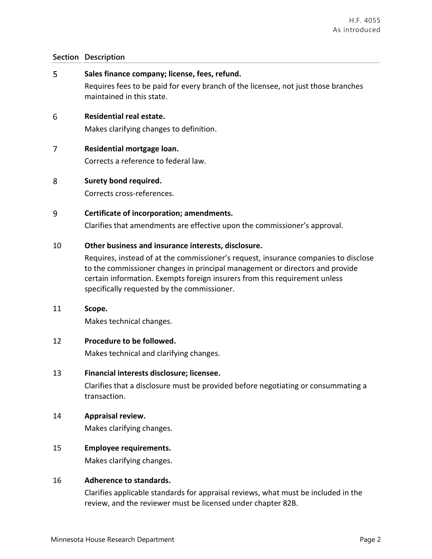#### **Section Description**

- 5 **Sales finance company; license, fees, refund.** Requires fees to be paid for every branch of the licensee, not just those branches maintained in this state. 6 **Residential real estate.** Makes clarifying changes to definition.
- $\overline{7}$ **Residential mortgage loan.**  Corrects a reference to federal law.
- 8 **Surety bond required.**

Corrects cross-references.

9 **Certificate of incorporation; amendments.** 

Clarifies that amendments are effective upon the commissioner's approval.

### 10 **Other business and insurance interests, disclosure.**

Requires, instead of at the commissioner's request, insurance companies to disclose to the commissioner changes in principal management or directors and provide certain information. Exempts foreign insurers from this requirement unless specifically requested by the commissioner.

11 **Scope.** 

Makes technical changes.

### 12 **Procedure to be followed.**

Makes technical and clarifying changes.

13 **Financial interests disclosure; licensee.**

Clarifies that a disclosure must be provided before negotiating or consummating a transaction.

# 14 **Appraisal review.**

Makes clarifying changes.

# 15 **Employee requirements.**

Makes clarifying changes.

### 16 **Adherence to standards.**

Clarifies applicable standards for appraisal reviews, what must be included in the review, and the reviewer must be licensed under chapter 82B.